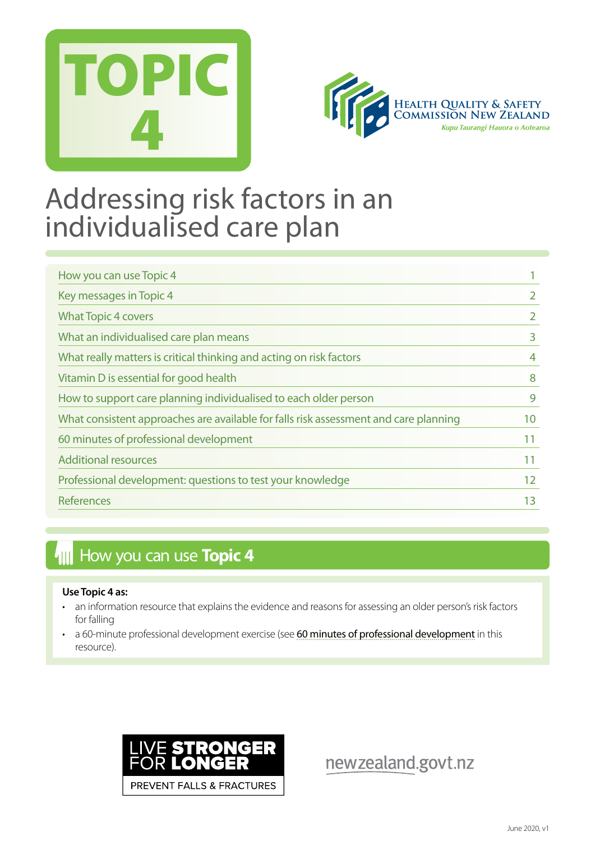



## Addressing risk factors in an individualised care plan

| How you can use Topic 4                                                              |    |
|--------------------------------------------------------------------------------------|----|
| Key messages in Topic 4                                                              |    |
| <b>What Topic 4 covers</b>                                                           |    |
| What an individualised care plan means                                               | 3  |
| What really matters is critical thinking and acting on risk factors                  | 4  |
| Vitamin D is essential for good health                                               | 8  |
| How to support care planning individualised to each older person                     | 9  |
| What consistent approaches are available for falls risk assessment and care planning | 10 |
| 60 minutes of professional development                                               | 11 |
| <b>Additional resources</b>                                                          | 11 |
| Professional development: questions to test your knowledge                           | 12 |
| References                                                                           | 13 |

## **How you can use Topic 4**

#### **Use Topic 4 as:**

- an information resource that explains the evidence and reasons for assessing an older person's risk factors for falling
- a 60-minute professional development exercise (see [60 minutes of professional development](#page-11-0) in this resource).



newzealand.govt.nz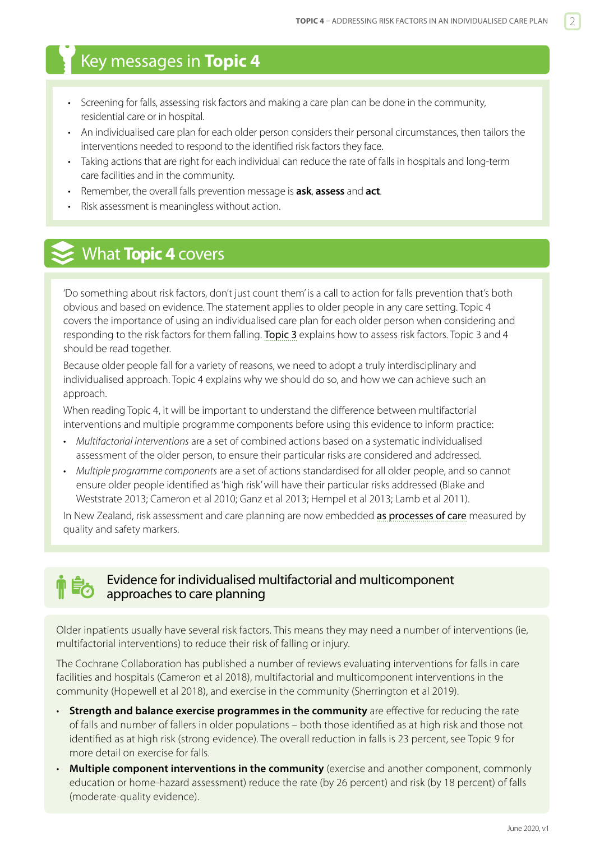## <span id="page-1-0"></span>Key messages in **Topic 4**

- Screening for falls, assessing risk factors and making a care plan can be done in the community, residential care or in hospital.
- An individualised care plan for each older person considers their personal circumstances, then tailors the interventions needed to respond to the identified risk factors they face.
- Taking actions that are right for each individual can reduce the rate of falls in hospitals and long-term care facilities and in the community.
- Remember, the overall falls prevention message is **ask**, **assess** and **act**.
- Risk assessment is meaningless without action.

## What **Topic 4** covers

'Do something about risk factors, don't just count them' is a call to action for falls prevention that's both obvious and based on evidence. The statement applies to older people in any care setting. Topic 4 covers the importance of using an individualised care plan for each older person when considering and responding to the risk factors for them falling. [Topic 3](https://www.hqsc.govt.nz/our-programmes/reducing-harm-from-falls/publications-and-resources/publication/2874) explains how to assess risk factors. Topic 3 and 4 should be read together.

Because older people fall for a variety of reasons, we need to adopt a truly interdisciplinary and individualised approach. Topic 4 explains why we should do so, and how we can achieve such an approach.

When reading Topic 4, it will be important to understand the difference between multifactorial interventions and multiple programme components before using this evidence to inform practice:

- *Multifactorial interventions* are a set of combined actions based on a systematic individualised assessment of the older person, to ensure their particular risks are considered and addressed.
- *Multiple programme components* are a set of actions standardised for all older people, and so cannot ensure older people identified as 'high risk' will have their particular risks addressed (Blake and Weststrate 2013; Cameron et al 2010; Ganz et al 2013; Hempel et al 2013; Lamb et al 2011).

In New Zealand, risk assessment and care planning are now embedded [as processes of care](http://www.hqsc.govt.nz/our-programmes/reducing-harm-from-falls/publications-and-resources/publication/1078/) measured by quality and safety markers.

#### Evidence for individualised multifactorial and multicomponent approaches to care planning

Older inpatients usually have several risk factors. This means they may need a number of interventions (ie, multifactorial interventions) to reduce their risk of falling or injury.

The Cochrane Collaboration has published a number of reviews evaluating interventions for falls in care facilities and hospitals (Cameron et al 2018), multifactorial and multicomponent interventions in the community (Hopewell et al 2018), and exercise in the community (Sherrington et al 2019).

- **Strength and balance exercise programmes in the community** are effective for reducing the rate of falls and number of fallers in older populations – both those identified as at high risk and those not identified as at high risk (strong evidence). The overall reduction in falls is 23 percent, see Topic 9 for more detail on exercise for falls.
- **Multiple component interventions in the community** (exercise and another component, commonly education or home-hazard assessment) reduce the rate (by 26 percent) and risk (by 18 percent) of falls (moderate-quality evidence).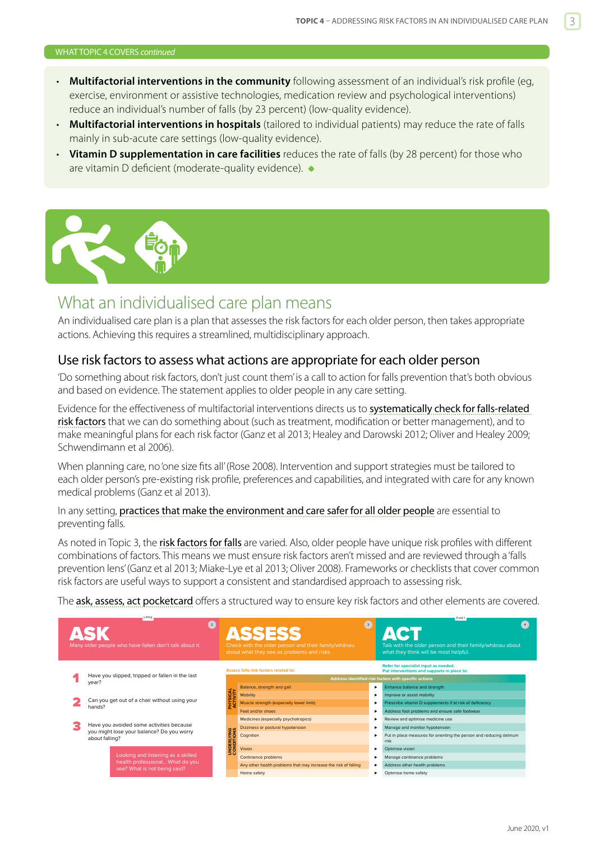#### <span id="page-2-0"></span>WHAT TOPIC 4 COVERS *continued*

- **Multifactorial interventions in the community** following assessment of an individual's risk profile (eg, exercise, environment or assistive technologies, medication review and psychological interventions) reduce an individual's number of falls (by 23 percent) (low-quality evidence).
- **Multifactorial interventions in hospitals** (tailored to individual patients) may reduce the rate of falls mainly in sub-acute care settings (low-quality evidence).
- **Vitamin D supplementation in care facilities** reduces the rate of falls (by 28 percent) for those who are vitamin D deficient (moderate-quality evidence).



## What an individualised care plan means

An individualised care plan is a plan that assesses the risk factors for each older person, then takes appropriate actions. Achieving this requires a streamlined, multidisciplinary approach.

#### Use risk factors to assess what actions are appropriate for each older person

'Do something about risk factors, don't just count them' is a call to action for falls prevention that's both obvious and based on evidence. The statement applies to older people in any care setting.

Evidence for the effectiveness of multifactorial interventions directs us to [systematically check for falls-related](https://www.hqsc.govt.nz/our-programmes/reducing-harm-from-falls/publications-and-resources/publication/2874)  [risk factors](https://www.hqsc.govt.nz/our-programmes/reducing-harm-from-falls/publications-and-resources/publication/2874) that we can do something about (such as treatment, modification or better management), and to make meaningful plans for each risk factor (Ganz et al 2013; Healey and Darowski 2012; Oliver and Healey 2009; Schwendimann et al 2006).

When planning care, no 'one size fits all' (Rose 2008). Intervention and support strategies must be tailored to each older person's pre-existing risk profile, preferences and capabilities, and integrated with care for any known medical problems (Ganz et al 2013). ical probleme (Capz ot al 2012

In any setting, [practices that make the environment and care safer for all older people](https://www.hqsc.govt.nz/our-programmes/reducing-harm-from-falls/publications-and-resources/publication/2876) are essential to preventing falls. One out of the second personal electronic people has a fall each year, and the  $\sim$ **nvironment and care safer for all older people** are essential to

As noted in Topic 3, the [risk factors for falls](https://www.hqsc.govt.nz/our-programmes/reducing-harm-from-falls/publications-and-resources/publication/2874) are varied. Also, older people have unique risk profiles with different combinations of factors. This means we must ensure risk factors aren't missed and are reviewed through a 'falls prevention lens' (Ganz et al 2013; Miake-Lye et al 2013; Oliver 2008). Frameworks or checklists that cover common .<br>risk factors are useful ways to support a consistent and standardised approach to assessing risk. orca in topic *s*, the <u>making some mant</u> are varied. Theo, older people have dingdensik profiles when different the past year of the past year –  $\frac{1}{2}$ any other patients where an underlying condition puts them at ors are useful ways to support a consistent and standardised ap<sub>l</sub> of this incident. **nust ensure risl Ills** are varied. A

The **[ask, assess, act pocketcard](https://www.hqsc.govt.nz/our-programmes/reducing-harm-from-falls/publications-and-resources/publication/1025/)** offers a structured way to ensure key risk factors and other elements are covered.

|  | $\left( \begin{matrix} 2 \end{matrix} \right)$<br>Many older people who have fallen don't talk about it. |                           | <b>ASSESS</b><br>Check with the older person and their family/whanau<br>about what they see as problems and risks. | $\left(3\right)$                                      | Fold 1<br>Talk with the older person and their family/whanau about<br>what they think will be most helpful. |
|--|----------------------------------------------------------------------------------------------------------|---------------------------|--------------------------------------------------------------------------------------------------------------------|-------------------------------------------------------|-------------------------------------------------------------------------------------------------------------|
|  |                                                                                                          |                           | Assess falls risk factors related to:                                                                              |                                                       | Refer for specialist input as needed.<br>Put interventions and supports in place to:                        |
|  | Have you slipped, tripped or fallen in the last<br>year?                                                 |                           |                                                                                                                    | Address identified risk factors with specific actions |                                                                                                             |
|  |                                                                                                          |                           | Balance, strength and gait                                                                                         |                                                       | Enhance balance and strength                                                                                |
|  |                                                                                                          |                           | Mobility                                                                                                           | ٠                                                     | Improve or assist mobility                                                                                  |
|  | Can you get out of a chair without using your<br>hands?                                                  | <b>HYSICAL</b><br>CTIVITY | Muscle strength (especially lower limb)                                                                            |                                                       | Prescribe vitamin D supplements if at risk of deficiency                                                    |
|  |                                                                                                          |                           | Feet and/or shoes                                                                                                  |                                                       | Address foot problems and ensure safe footwear                                                              |
|  |                                                                                                          | INDERLYING                | Medicines (especially psychotropics)                                                                               |                                                       | Review and optimise medicine use                                                                            |
|  | Have you avoided some activities because                                                                 |                           | Dizziness or postural hypotension                                                                                  |                                                       | Manage and monitor hypotension                                                                              |
|  | you might lose your balance? Do you worry<br>about falling?                                              |                           | Cognition                                                                                                          |                                                       | Put in place measures for orienting the person and reducing delirium<br>risk                                |
|  |                                                                                                          |                           | Vision                                                                                                             |                                                       | Optimise vision                                                                                             |
|  | Looking and listening as a skilled                                                                       |                           | Continence problems                                                                                                |                                                       | Manage continence problems                                                                                  |
|  | health professional What do you<br>see? What is not being said?                                          |                           | Any other health problems that may increase the risk of falling                                                    |                                                       | Address other health problems                                                                               |
|  |                                                                                                          |                           | Home safety                                                                                                        |                                                       | Optimise home safety                                                                                        |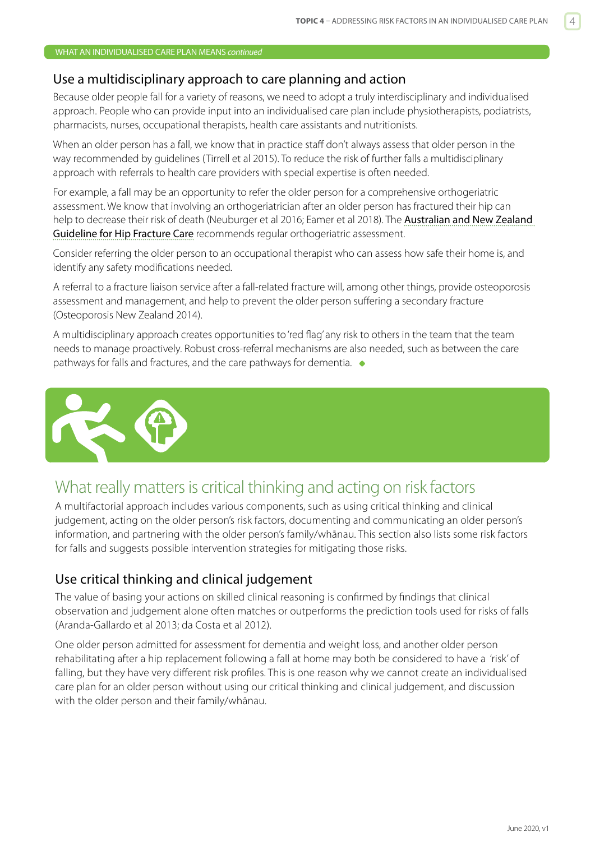#### <span id="page-3-0"></span>Use a multidisciplinary approach to care planning and action

Because older people fall for a variety of reasons, we need to adopt a truly interdisciplinary and individualised approach. People who can provide input into an individualised care plan include physiotherapists, podiatrists, pharmacists, nurses, occupational therapists, health care assistants and nutritionists.

When an older person has a fall, we know that in practice staff don't always assess that older person in the way recommended by guidelines (Tirrell et al 2015). To reduce the risk of further falls a multidisciplinary approach with referrals to health care providers with special expertise is often needed.

For example, a fall may be an opportunity to refer the older person for a comprehensive orthogeriatric assessment. We know that involving an orthogeriatrician after an older person has fractured their hip can help to decrease their risk of death (Neuburger et al 2016; Eamer et al 2018). The [Australian and New Zealand](https://anzhfr.org/wp-content/uploads/2016/07/ANZ-Guideline-for-Hip-Fracture-Care.pdf)  [Guideline for Hip Fracture Care](https://anzhfr.org/wp-content/uploads/2016/07/ANZ-Guideline-for-Hip-Fracture-Care.pdf) recommends regular orthogeriatric assessment.

Consider referring the older person to an occupational therapist who can assess how safe their home is, and identify any safety modifications needed.

A referral to a fracture liaison service after a fall-related fracture will, among other things, provide osteoporosis assessment and management, and help to prevent the older person suffering a secondary fracture (Osteoporosis New Zealand 2014).

A multidisciplinary approach creates opportunities to 'red flag' any risk to others in the team that the team needs to manage proactively. Robust cross-referral mechanisms are also needed, such as between the care pathways for falls and fractures, and the care pathways for dementia.  $\bullet$ 



## What really matters is critical thinking and acting on risk factors

A multifactorial approach includes various components, such as using critical thinking and clinical judgement, acting on the older person's risk factors, documenting and communicating an older person's information, and partnering with the older person's family/whānau. This section also lists some risk factors for falls and suggests possible intervention strategies for mitigating those risks.

### Use critical thinking and clinical judgement

The value of basing your actions on skilled clinical reasoning is confirmed by findings that clinical observation and judgement alone often matches or outperforms the prediction tools used for risks of falls (Aranda-Gallardo et al 2013; da Costa et al 2012).

One older person admitted for assessment for dementia and weight loss, and another older person rehabilitating after a hip replacement following a fall at home may both be considered to have a 'risk' of falling, but they have very different risk profiles. This is one reason why we cannot create an individualised care plan for an older person without using our critical thinking and clinical judgement, and discussion with the older person and their family/whānau.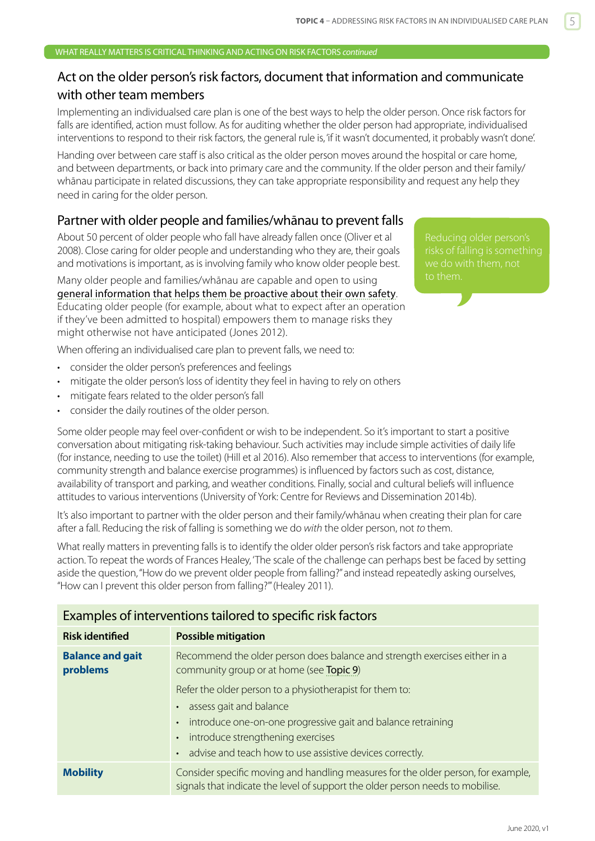## Act on the older person's risk factors, document that information and communicate with other team members

Implementing an individualsed care plan is one of the best ways to help the older person. Once risk factors for falls are identified, action must follow. As for auditing whether the older person had appropriate, individualised interventions to respond to their risk factors, the general rule is, 'if it wasn't documented, it probably wasn't done'.

Handing over between care staff is also critical as the older person moves around the hospital or care home, and between departments, or back into primary care and the community. If the older person and their family/ whānau participate in related discussions, they can take appropriate responsibility and request any help they need in caring for the older person.

### Partner with older people and families/whānau to prevent falls

About 50 percent of older people who fall have already fallen once (Oliver et al 2008). Close caring for older people and understanding who they are, their goals and motivations is important, as is involving family who know older people best.

Many older people and families/whānau are capable and open to using [general information that helps them be proactive about their own safety](http://www.hqsc.govt.nz/our-programmes/reducing-harm-from-falls/publications-and-resources/publication/980/). Educating older people (for example, about what to expect after an operation if they've been admitted to hospital) empowers them to manage risks they might otherwise not have anticipated (Jones 2012).

Reducing older person's

When offering an individualised care plan to prevent falls, we need to:

- consider the older person's preferences and feelings
- mitigate the older person's loss of identity they feel in having to rely on others
- mitigate fears related to the older person's fall
- consider the daily routines of the older person.

Some older people may feel over-confident or wish to be independent. So it's important to start a positive conversation about mitigating risk-taking behaviour. Such activities may include simple activities of daily life (for instance, needing to use the toilet) (Hill et al 2016). Also remember that access to interventions (for example, community strength and balance exercise programmes) is influenced by factors such as cost, distance, availability of transport and parking, and weather conditions. Finally, social and cultural beliefs will influence attitudes to various interventions (University of York: Centre for Reviews and Dissemination 2014b).

It's also important to partner with the older person and their family/whānau when creating their plan for care after a fall. Reducing the risk of falling is something we do *with* the older person, not *to* them.

What really matters in preventing falls is to identify the older older person's risk factors and take appropriate action. To repeat the words of Frances Healey, 'The scale of the challenge can perhaps best be faced by setting aside the question, "How do we prevent older people from falling?" and instead repeatedly asking ourselves, "How can I prevent this older person from falling?"' (Healey 2011).

#### Examples of interventions tailored to specific risk factors

| <b>Risk identified</b>              | <b>Possible mitigation</b>                                                                                                                                          |  |  |
|-------------------------------------|---------------------------------------------------------------------------------------------------------------------------------------------------------------------|--|--|
| <b>Balance and gait</b><br>problems | Recommend the older person does balance and strength exercises either in a<br>community group or at home (see Topic 9)                                              |  |  |
|                                     | Refer the older person to a physiotherapist for them to:                                                                                                            |  |  |
|                                     | assess gait and balance<br>$\bullet$                                                                                                                                |  |  |
|                                     | introduce one-on-one progressive gait and balance retraining<br>$\bullet$                                                                                           |  |  |
|                                     | introduce strengthening exercises<br>$\bullet$                                                                                                                      |  |  |
|                                     | advise and teach how to use assistive devices correctly.<br>$\bullet$                                                                                               |  |  |
| <b>Mobility</b>                     | Consider specific moving and handling measures for the older person, for example,<br>signals that indicate the level of support the older person needs to mobilise. |  |  |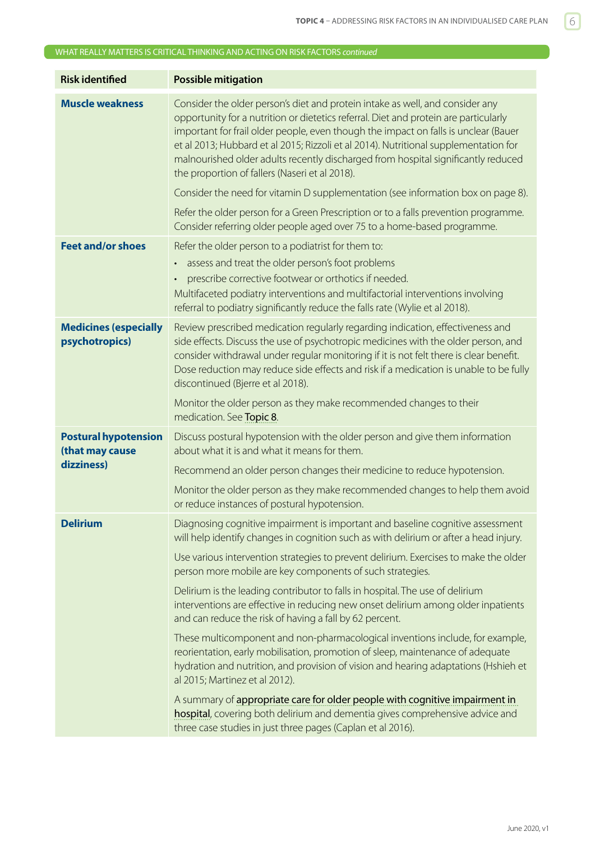#### WHAT REALLY MATTERS IS CRITICAL THINKING AND ACTING ON RISK FACTORS *continued*

| <b>Risk identified</b>                         | <b>Possible mitigation</b>                                                                                                                                                                                                                                                                                                                                                                                                                                                                  |
|------------------------------------------------|---------------------------------------------------------------------------------------------------------------------------------------------------------------------------------------------------------------------------------------------------------------------------------------------------------------------------------------------------------------------------------------------------------------------------------------------------------------------------------------------|
| <b>Muscle weakness</b>                         | Consider the older person's diet and protein intake as well, and consider any<br>opportunity for a nutrition or dietetics referral. Diet and protein are particularly<br>important for frail older people, even though the impact on falls is unclear (Bauer<br>et al 2013; Hubbard et al 2015; Rizzoli et al 2014). Nutritional supplementation for<br>malnourished older adults recently discharged from hospital significantly reduced<br>the proportion of fallers (Naseri et al 2018). |
|                                                | Consider the need for vitamin D supplementation (see information box on page 8).                                                                                                                                                                                                                                                                                                                                                                                                            |
|                                                | Refer the older person for a Green Prescription or to a falls prevention programme.<br>Consider referring older people aged over 75 to a home-based programme.                                                                                                                                                                                                                                                                                                                              |
| <b>Feet and/or shoes</b>                       | Refer the older person to a podiatrist for them to:                                                                                                                                                                                                                                                                                                                                                                                                                                         |
|                                                | assess and treat the older person's foot problems<br>prescribe corrective footwear or orthotics if needed.<br>Multifaceted podiatry interventions and multifactorial interventions involving<br>referral to podiatry significantly reduce the falls rate (Wylie et al 2018).                                                                                                                                                                                                                |
| <b>Medicines (especially</b><br>psychotropics) | Review prescribed medication regularly regarding indication, effectiveness and<br>side effects. Discuss the use of psychotropic medicines with the older person, and<br>consider withdrawal under regular monitoring if it is not felt there is clear benefit.<br>Dose reduction may reduce side effects and risk if a medication is unable to be fully<br>discontinued (Bjerre et al 2018).                                                                                                |
|                                                | Monitor the older person as they make recommended changes to their<br>medication. See Topic 8.                                                                                                                                                                                                                                                                                                                                                                                              |
| <b>Postural hypotension</b><br>(that may cause | Discuss postural hypotension with the older person and give them information<br>about what it is and what it means for them.                                                                                                                                                                                                                                                                                                                                                                |
| dizziness)                                     | Recommend an older person changes their medicine to reduce hypotension.                                                                                                                                                                                                                                                                                                                                                                                                                     |
|                                                | Monitor the older person as they make recommended changes to help them avoid<br>or reduce instances of postural hypotension.                                                                                                                                                                                                                                                                                                                                                                |
| <b>Delirium</b>                                | Diagnosing cognitive impairment is important and baseline cognitive assessment<br>will help identify changes in cognition such as with delirium or after a head injury.                                                                                                                                                                                                                                                                                                                     |
|                                                | Use various intervention strategies to prevent delirium. Exercises to make the older<br>person more mobile are key components of such strategies.                                                                                                                                                                                                                                                                                                                                           |
|                                                | Delirium is the leading contributor to falls in hospital. The use of delirium<br>interventions are effective in reducing new onset delirium among older inpatients<br>and can reduce the risk of having a fall by 62 percent.                                                                                                                                                                                                                                                               |
|                                                | These multicomponent and non-pharmacological inventions include, for example,<br>reorientation, early mobilisation, promotion of sleep, maintenance of adequate<br>hydration and nutrition, and provision of vision and hearing adaptations (Hshieh et<br>al 2015; Martinez et al 2012).                                                                                                                                                                                                    |
|                                                | A summary of appropriate care for older people with cognitive impairment in<br>hospital, covering both delirium and dementia gives comprehensive advice and<br>three case studies in just three pages (Caplan et al 2016).                                                                                                                                                                                                                                                                  |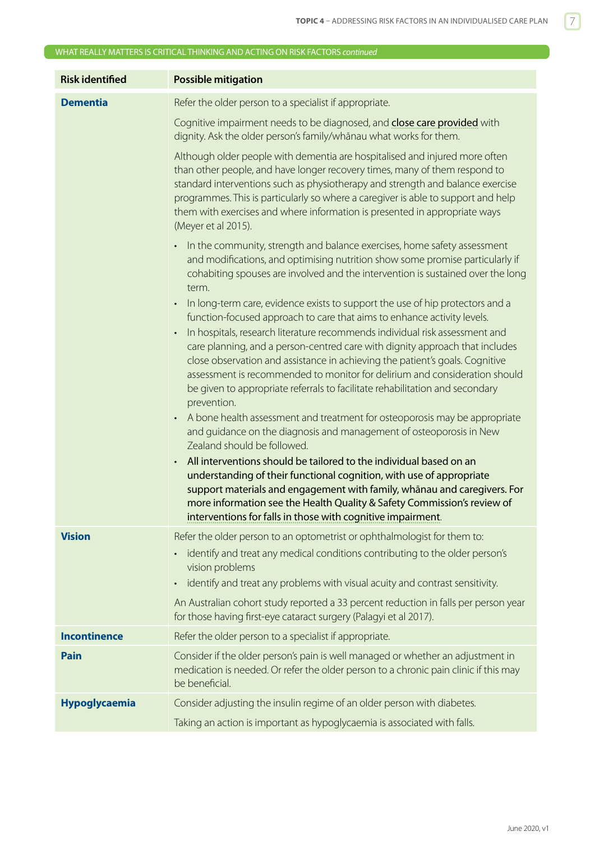|                        | WHAT REALLY MATTERS IS CRITICAL THINKING AND ACTING ON RISK FACTORS continued                                                                                                                                                                                                                                                                                                                                                                                                                                                                                                                                                                                      |
|------------------------|--------------------------------------------------------------------------------------------------------------------------------------------------------------------------------------------------------------------------------------------------------------------------------------------------------------------------------------------------------------------------------------------------------------------------------------------------------------------------------------------------------------------------------------------------------------------------------------------------------------------------------------------------------------------|
| <b>Risk identified</b> | <b>Possible mitigation</b>                                                                                                                                                                                                                                                                                                                                                                                                                                                                                                                                                                                                                                         |
| <b>Dementia</b>        | Refer the older person to a specialist if appropriate.                                                                                                                                                                                                                                                                                                                                                                                                                                                                                                                                                                                                             |
|                        | Cognitive impairment needs to be diagnosed, and close care provided with<br>dignity. Ask the older person's family/whanau what works for them.                                                                                                                                                                                                                                                                                                                                                                                                                                                                                                                     |
|                        | Although older people with dementia are hospitalised and injured more often<br>than other people, and have longer recovery times, many of them respond to<br>standard interventions such as physiotherapy and strength and balance exercise<br>programmes. This is particularly so where a caregiver is able to support and help<br>them with exercises and where information is presented in appropriate ways<br>(Meyer et al 2015).                                                                                                                                                                                                                              |
|                        | In the community, strength and balance exercises, home safety assessment<br>and modifications, and optimising nutrition show some promise particularly if<br>cohabiting spouses are involved and the intervention is sustained over the long<br>term.                                                                                                                                                                                                                                                                                                                                                                                                              |
|                        | In long-term care, evidence exists to support the use of hip protectors and a<br>function-focused approach to care that aims to enhance activity levels.<br>In hospitals, research literature recommends individual risk assessment and<br>care planning, and a person-centred care with dignity approach that includes<br>close observation and assistance in achieving the patient's goals. Cognitive<br>assessment is recommended to monitor for delirium and consideration should<br>be given to appropriate referrals to facilitate rehabilitation and secondary<br>prevention.<br>A bone health assessment and treatment for osteoporosis may be appropriate |
|                        | and guidance on the diagnosis and management of osteoporosis in New<br>Zealand should be followed.<br>All interventions should be tailored to the individual based on an<br>understanding of their functional cognition, with use of appropriate<br>support materials and engagement with family, whanau and caregivers. For<br>more information see the Health Quality & Safety Commission's review of<br>interventions for falls in those with cognitive impairment.                                                                                                                                                                                             |
| <b>Vision</b>          | Refer the older person to an optometrist or ophthalmologist for them to:<br>identify and treat any medical conditions contributing to the older person's<br>vision problems<br>identify and treat any problems with visual acuity and contrast sensitivity.                                                                                                                                                                                                                                                                                                                                                                                                        |
|                        | An Australian cohort study reported a 33 percent reduction in falls per person year<br>for those having first-eye cataract surgery (Palagyi et al 2017).                                                                                                                                                                                                                                                                                                                                                                                                                                                                                                           |
| <b>Incontinence</b>    | Refer the older person to a specialist if appropriate.                                                                                                                                                                                                                                                                                                                                                                                                                                                                                                                                                                                                             |
| <b>Pain</b>            | Consider if the older person's pain is well managed or whether an adjustment in<br>medication is needed. Or refer the older person to a chronic pain clinic if this may<br>be beneficial.                                                                                                                                                                                                                                                                                                                                                                                                                                                                          |
| Hypoglycaemia          | Consider adjusting the insulin regime of an older person with diabetes.                                                                                                                                                                                                                                                                                                                                                                                                                                                                                                                                                                                            |
|                        | Taking an action is important as hypoglycaemia is associated with falls.                                                                                                                                                                                                                                                                                                                                                                                                                                                                                                                                                                                           |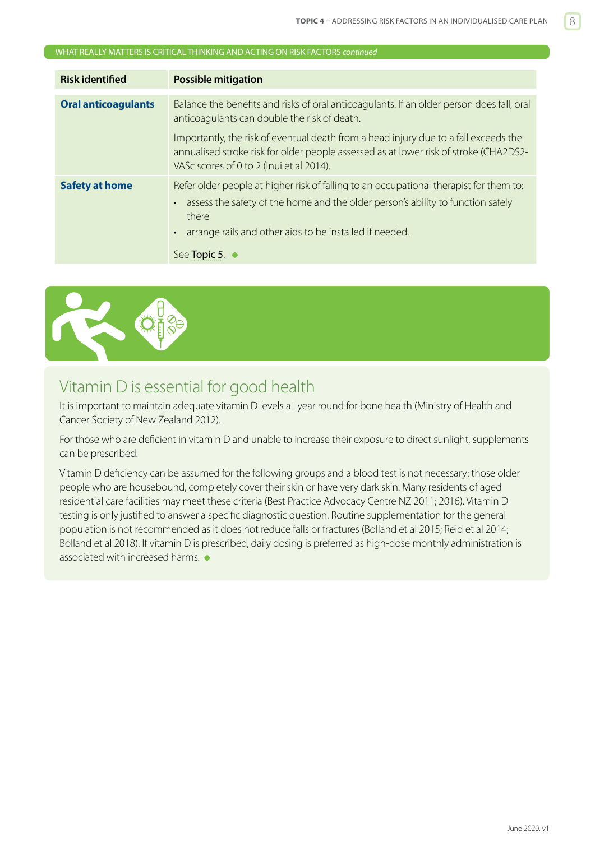#### <span id="page-7-0"></span>WHAT REALLY MATTERS IS CRITICAL THINKING AND ACTING ON RISK FACTORS *continued*

| <b>Risk identified</b>     | <b>Possible mitigation</b>                                                                                                                                                                                                                                              |  |  |
|----------------------------|-------------------------------------------------------------------------------------------------------------------------------------------------------------------------------------------------------------------------------------------------------------------------|--|--|
| <b>Oral anticoagulants</b> | Balance the benefits and risks of oral anticoagulants. If an older person does fall, oral<br>anticoagulants can double the risk of death.<br>Importantly, the risk of eventual death from a head injury due to a fall exceeds the                                       |  |  |
|                            | annualised stroke risk for older people assessed as at lower risk of stroke (CHA2DS2-<br>VASc scores of 0 to 2 (Inui et al 2014).                                                                                                                                       |  |  |
| <b>Safety at home</b>      | Refer older people at higher risk of falling to an occupational therapist for them to:<br>assess the safety of the home and the older person's ability to function safely<br>$\bullet$<br>there<br>arrange rails and other aids to be installed if needed.<br>$\bullet$ |  |  |
|                            | See <b>Topic 5</b> .                                                                                                                                                                                                                                                    |  |  |



## Vitamin D is essential for good health

It is important to maintain adequate vitamin D levels all year round for bone health (Ministry of Health and Cancer Society of New Zealand 2012).

For those who are deficient in vitamin D and unable to increase their exposure to direct sunlight, supplements can be prescribed.

Vitamin D deficiency can be assumed for the following groups and a blood test is not necessary: those older people who are housebound, completely cover their skin or have very dark skin. Many residents of aged residential care facilities may meet these criteria (Best Practice Advocacy Centre NZ 2011; 2016). Vitamin D testing is only justified to answer a specific diagnostic question. Routine supplementation for the general population is not recommended as it does not reduce falls or fractures (Bolland et al 2015; Reid et al 2014; Bolland et al 2018). If vitamin D is prescribed, daily dosing is preferred as high-dose monthly administration is associated with increased harms.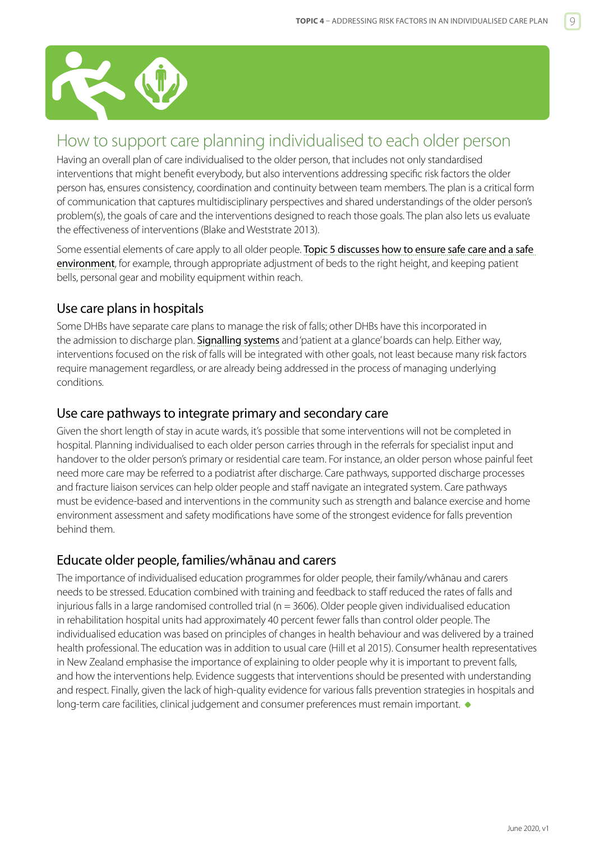<span id="page-8-0"></span>

## How to support care planning individualised to each older person

Having an overall plan of care individualised to the older person, that includes not only standardised interventions that might benefit everybody, but also interventions addressing specific risk factors the older person has, ensures consistency, coordination and continuity between team members. The plan is a critical form of communication that captures multidisciplinary perspectives and shared understandings of the older person's problem(s), the goals of care and the interventions designed to reach those goals. The plan also lets us evaluate the effectiveness of interventions (Blake and Weststrate 2013).

Some essential elements of care apply to all older people. Topic 5 discusses how to ensure safe care and a safe [environment](https://www.hqsc.govt.nz/our-programmes/reducing-harm-from-falls/publications-and-resources/publication/2875), for example, through appropriate adjustment of beds to the right height, and keeping patient bells, personal gear and mobility equipment within reach.

## Use care plans in hospitals

Some DHBs have separate care plans to manage the risk of falls; other DHBs have this incorporated in the admission to discharge plan. [Signalling systems](https://www.hqsc.govt.nz/our-programmes/reducing-harm-from-falls/projects/signalling-system/) and 'patient at a glance' boards can help. Either way, interventions focused on the risk of falls will be integrated with other goals, not least because many risk factors require management regardless, or are already being addressed in the process of managing underlying conditions.

## Use care pathways to integrate primary and secondary care

Given the short length of stay in acute wards, it's possible that some interventions will not be completed in hospital. Planning individualised to each older person carries through in the referrals for specialist input and handover to the older person's primary or residential care team. For instance, an older person whose painful feet need more care may be referred to a podiatrist after discharge. Care pathways, supported discharge processes and fracture liaison services can help older people and staff navigate an integrated system. Care pathways must be evidence-based and interventions in the community such as strength and balance exercise and home environment assessment and safety modifications have some of the strongest evidence for falls prevention behind them.

## Educate older people, families/whānau and carers

The importance of individualised education programmes for older people, their family/whānau and carers needs to be stressed. Education combined with training and feedback to staff reduced the rates of falls and injurious falls in a large randomised controlled trial ( $n = 3606$ ). Older people given individualised education in rehabilitation hospital units had approximately 40 percent fewer falls than control older people. The individualised education was based on principles of changes in health behaviour and was delivered by a trained health professional. The education was in addition to usual care (Hill et al 2015). Consumer health representatives in New Zealand emphasise the importance of explaining to older people why it is important to prevent falls, and how the interventions help. Evidence suggests that interventions should be presented with understanding and respect. Finally, given the lack of high-quality evidence for various falls prevention strategies in hospitals and long-term care facilities, clinical judgement and consumer preferences must remain important.  $\bullet$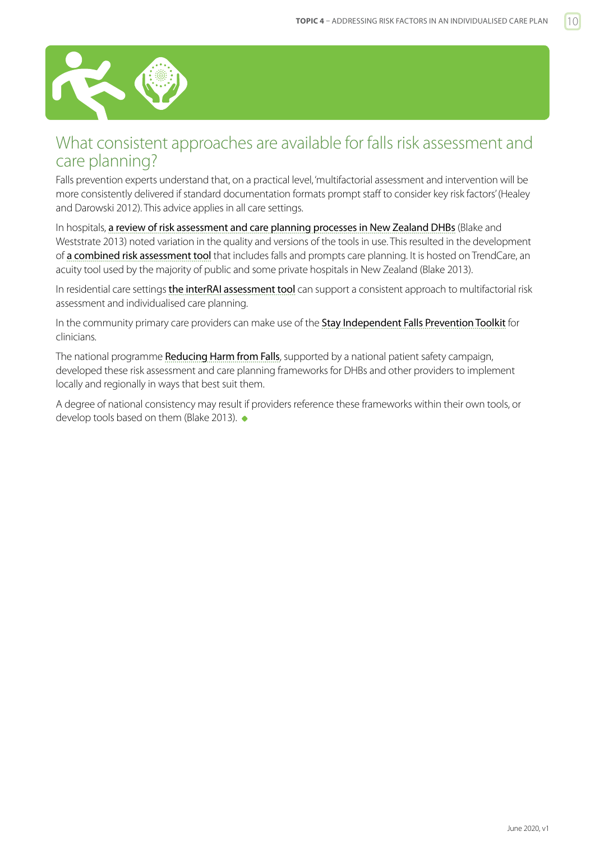<span id="page-9-0"></span>

## What consistent approaches are available for falls risk assessment and care planning?

Falls prevention experts understand that, on a practical level, 'multifactorial assessment and intervention will be more consistently delivered if standard documentation formats prompt staff to consider key risk factors' (Healey and Darowski 2012). This advice applies in all care settings.

In hospitals, [a review of risk assessment and care planning processes in New Zealand DHBs](http://www.hqsc.govt.nz/our-programmes/reducing-harm-from-falls/publications-and-resources/publication/1079/) (Blake and Weststrate 2013) noted variation in the quality and versions of the tools in use. This resulted in the development of [a combined risk assessment tool](http://www.hqsc.govt.nz/our-programmes/reducing-harm-from-falls/publications-and-resources/publication/1080/) that includes falls and prompts care planning. It is hosted on TrendCare, an acuity tool used by the majority of public and some private hospitals in New Zealand (Blake 2013).

In residential care settings [the interRAI assessment tool](http://www.health.govt.nz/our-work/ehealth/other-ehealth-initiatives/common-clinical-information/comprehensive-clinical-assessment-aged-care-interrai) can support a consistent approach to multifactorial risk assessment and individualised care planning.

In the community primary care providers can make use of the [Stay Independent Falls Prevention Toolkit](http://www.hqsc.govt.nz/our-programmes/reducing-harm-from-falls/publications-and-resources/publication/2232/) for clinicians.

The national programme [Reducing Harm from Falls](https://www.hqsc.govt.nz/our-programmes/reducing-harm-from-falls/), supported by a national patient safety campaign, developed these risk assessment and care planning frameworks for DHBs and other providers to implement locally and regionally in ways that best suit them.

A degree of national consistency may result if providers reference these frameworks within their own tools, or develop tools based on them (Blake 2013).  $\bullet$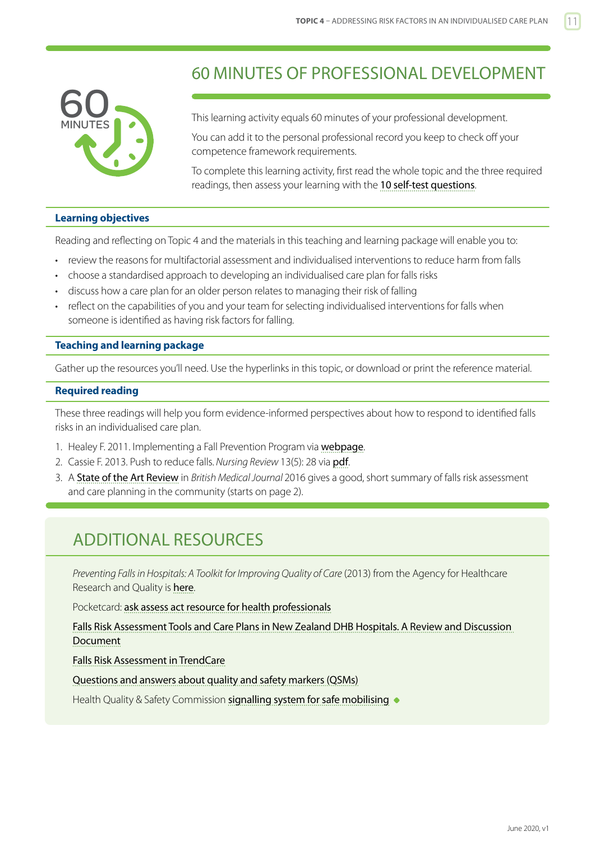<span id="page-10-0"></span>

## 60 MINUTES OF PROFESSIONAL DEVELOPMENT

This learning activity equals 60 minutes of your professional development.

You can add it to the personal professional record you keep to check off your competence framework requirements.

To complete this learning activity, first read the whole topic and the three required readings, then assess your learning with the [10 self-test questions](#page-11-0).

#### **Learning objectives**

Reading and reflecting on Topic 4 and the materials in this teaching and learning package will enable you to:

- review the reasons for multifactorial assessment and individualised interventions to reduce harm from falls
- choose a standardised approach to developing an individualised care plan for falls risks
- discuss how a care plan for an older person relates to managing their risk of falling
- reflect on the capabilities of you and your team for selecting individualised interventions for falls when someone is identified as having risk factors for falling.

#### **Teaching and learning package**

Gather up the resources you'll need. Use the hyperlinks in this topic, or download or print the reference material.

#### **Required reading**

These three readings will help you form evidence-informed perspectives about how to respond to identified falls risks in an individualised care plan.

- 1. Healey F. 2011. Implementing a Fall Prevention Program via [webpage](https://psnet.ahrq.gov/perspective/implementing-fall-prevention-program).
- 2. Cassie F. 2013. Push to reduce falls. *Nursing Review* 13(5): 28 via [pdf](http://www.hqsc.govt.nz/assets/Falls/10-Topics/Push-to-reduce-falls.pdf).
- 3. A [State of the Art Review](http://www.bmj.com/bmj/section-pdf/922109?path=/bmj/353/8055/Education.full.pdf) in *British Medical Journal* 2016 gives a good, short summary of falls risk assessment and care planning in the community (starts on page 2).

## ADDITIONAL RESOURCES

*Preventing Falls in Hospitals: A Toolkit for Improving Quality of Care* (2013) from the Agency for Healthcare Research and Quality is [here](https://www.ahrq.gov/sites/default/files/publications/files/fallpxtoolkit.pdf).

Pocketcard: [ask assess act resource for health professionals](http://www.hqsc.govt.nz/our-programmes/reducing-harm-from-falls/publications-and-resources/publication/1025/)

[Falls Risk Assessment Tools and Care Plans in New Zealand DHB Hospitals. A Review and Discussion](http://www.hqsc.govt.nz/our-programmes/reducing-harm-from-falls/publications-and-resources/publication/1079/)  [Document](http://www.hqsc.govt.nz/our-programmes/reducing-harm-from-falls/publications-and-resources/publication/1079/)

[Falls Risk Assessment in TrendCare](http://www.hqsc.govt.nz/our-programmes/reducing-harm-from-falls/publications-and-resources/publication/1080/)

[Questions and answers about quality and safety markers \(QSMs\)](http://www.hqsc.govt.nz/our-programmes/reducing-harm-from-falls/publications-and-resources/publication/1078/)

Health Quality & Safety Commission [signalling system for safe mobilising](https://www.hqsc.govt.nz/our-programmes/reducing-harm-from-falls/projects/signalling-system/)  $\bullet$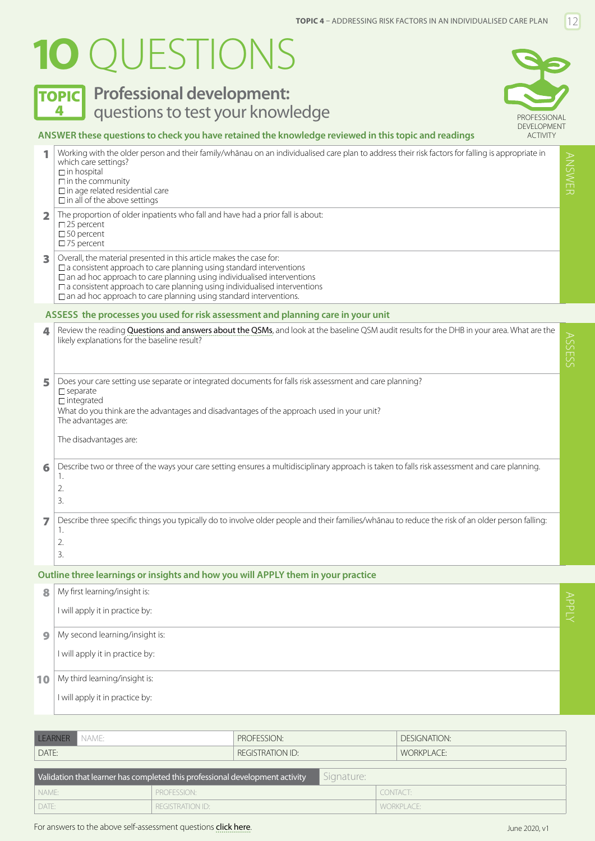# <span id="page-11-0"></span>**1O** QUESTIONS

## **TOPIC** Professional development: 4 **Questions to test your knowledge All and SECONAL PROFESSIONAL**



#### **ANSWER these questions to check you have retained the knowledge reviewed in this topic and readings**

|                         | Working with the older person and their family/whānau on an individualised care plan to address their risk factors for falling is appropriate in<br>which care settings?<br>$\Box$ in hospital<br>$\Box$ in the community<br>$\square$ in age related residential care<br>$\Box$ in all of the above settings                                                                                         | ANSWER |
|-------------------------|-------------------------------------------------------------------------------------------------------------------------------------------------------------------------------------------------------------------------------------------------------------------------------------------------------------------------------------------------------------------------------------------------------|--------|
| $\overline{\mathbf{2}}$ | The proportion of older inpatients who fall and have had a prior fall is about:<br>$\square$ 25 percent<br>$\square$ 50 percent<br>$\square$ 75 percent                                                                                                                                                                                                                                               |        |
| 3                       | Overall, the material presented in this article makes the case for:<br>$\square$ a consistent approach to care planning using standard interventions<br>$\Box$ an ad hoc approach to care planning using individualised interventions<br>$\Box$ a consistent approach to care planning using individualised interventions<br>$\Box$ an ad hoc approach to care planning using standard interventions. |        |
|                         | ASSESS the processes you used for risk assessment and planning care in your unit                                                                                                                                                                                                                                                                                                                      |        |
| 4                       | Review the reading Questions and answers about the QSMs, and look at the baseline QSM audit results for the DHB in your area. What are the<br>likely explanations for the baseline result?                                                                                                                                                                                                            | SSESS  |
| 5                       | Does your care setting use separate or integrated documents for falls risk assessment and care planning?<br>$\square$ separate<br>$\Box$ integrated<br>What do you think are the advantages and disadvantages of the approach used in your unit?<br>The advantages are:<br>The disadvantages are:                                                                                                     |        |
| 6                       | Describe two or three of the ways your care setting ensures a multidisciplinary approach is taken to falls risk assessment and care planning.<br>1.<br>2.<br>3.                                                                                                                                                                                                                                       |        |
| 7                       | Describe three specific things you typically do to involve older people and their families/whanau to reduce the risk of an older person falling:<br>1.<br>2.<br>3.                                                                                                                                                                                                                                    |        |
|                         | Outline three learnings or insights and how you will APPLY them in your practice                                                                                                                                                                                                                                                                                                                      |        |

## 8 My first learning/insight is: I will apply it in practice by: **9** My second learning/insight is: I will apply it in practice by: 10 My third learning/insight is: I will apply it in practice by:

| LEARNER NAME:                                                                              |  |                         | PROFFSSION: |  |            | DESIGNATION: |  |
|--------------------------------------------------------------------------------------------|--|-------------------------|-------------|--|------------|--------------|--|
| DATE:                                                                                      |  | <b>REGISTRATION ID:</b> |             |  | WORKPLACE: |              |  |
| Validation that learner has completed this professional development activity<br>Signature: |  |                         |             |  |            |              |  |
| I NAME:                                                                                    |  | <b>PROFESSION:</b>      |             |  | CONTACT:   |              |  |

DATE: REGISTRATION ID: WORKPLACE: